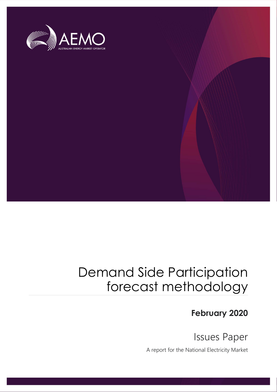

## Demand Side Participation forecast methodology

### February 2020

Issues Paper

A report for the National Electricity Market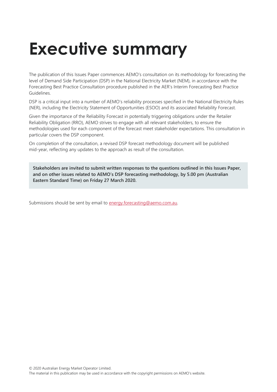# Executive summary

The publication of this Issues Paper commences AEMO's consultation on its methodology for forecasting the level of Demand Side Participation (DSP) in the National Electricity Market (NEM), in accordance with the Forecasting Best Practice Consultation procedure published in the AER's Interim Forecasting Best Practice Guidelines.

DSP is a critical input into a number of AEMO's reliability processes specified in the National Electricity Rules (NER), including the Electricity Statement of Opportunities (ESOO) and its associated Reliability Forecast.

Given the importance of the Reliability Forecast in potentially triggering obligations under the Retailer Reliability Obligation (RRO), AEMO strives to engage with all relevant stakeholders, to ensure the methodologies used for each component of the forecast meet stakeholder expectations. This consultation in particular covers the DSP component.

On completion of the consultation, a revised DSP forecast methodology document will be published mid-year, reflecting any updates to the approach as result of the consultation.

Stakeholders are invited to submit written responses to the questions outlined in this Issues Paper, and on other issues related to AEMO's DSP forecasting methodology, by 5.00 pm (Australian Eastern Standard Time) on Friday 27 March 2020.

Submissions should be sent by email to **energy** forecasting@aemo.com.au.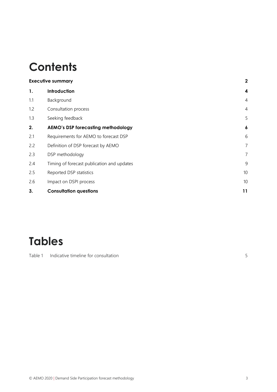## **Contents**

| <b>Executive summary</b> |                                            | $\mathbf 2$      |
|--------------------------|--------------------------------------------|------------------|
| 1.                       | Introduction                               | $\boldsymbol{4}$ |
| 1.1                      | Background                                 | $\overline{4}$   |
| 1.2                      | Consultation process                       | $\overline{4}$   |
| 1.3                      | Seeking feedback                           | 5                |
| 2.                       | <b>AEMO's DSP forecasting methodology</b>  | $\boldsymbol{6}$ |
| 2.1                      | Requirements for AEMO to forecast DSP      | 6                |
| 2.2                      | Definition of DSP forecast by AEMO         | $\overline{7}$   |
| 2.3                      | DSP methodology                            | 7                |
| 2.4                      | Timing of forecast publication and updates | 9                |
| 2.5                      | Reported DSP statistics                    | 10               |
| 2.6                      | Impact on DSPI process                     | 10               |
| 3.                       | <b>Consultation questions</b>              | 11               |

## Tables

Table 1 Indicative timeline for consultation 5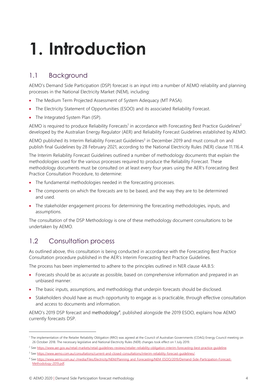# 1. Introduction

### 1.1 Background

AEMO's Demand Side Participation (DSP) forecast is an input into a number of AEMO reliability and planning processes in the National Electricity Market (NEM), including:

- The Medium Term Projected Assessment of System Adequacy (MT PASA).
- The Electricity Statement of Opportunities (ESOO) and its associated Reliability Forecast.
- The Integrated System Plan (ISP).

AEMO is required to produce Reliability Forecasts<sup>1</sup> in accordance with Forecasting Best Practice Guidelines<sup>2</sup> developed by the Australian Energy Regulator (AER) and Reliability Forecast Guidelines established by AEMO.

AEMO published its Interim Reliability Forecast Guidelines<sup>3</sup> in December 2019 and must consult on and publish final Guidelines by 28 February 2021, according to the National Electricity Rules (NER) clause 11.116.4.

The Interim Reliability Forecast Guidelines outlined a number of methodology documents that explain the methodologies used for the various processes required to produce the Reliability Forecast. These methodology documents must be consulted on at least every four years using the AER's Forecasting Best Practice Consultation Procedure, to determine:

- The fundamental methodologies needed in the forecasting processes.
- The components on which the forecasts are to be based, and the way they are to be determined and used.
- The stakeholder engagement process for determining the forecasting methodologies, inputs, and assumptions.

The consultation of the DSP Methodology is one of these methodology document consultations to be undertaken by AEMO.

### 1.2 Consultation process

As outlined above, this consultation is being conducted in accordance with the Forecasting Best Practice Consultation procedure published in the AER's Interim Forecasting Best Practice Guidelines.

The process has been implemented to adhere to the principles outlined in NER clause 4A.B.5:

- Forecasts should be as accurate as possible, based on comprehensive information and prepared in an unbiased manner.
- The basic inputs, assumptions, and methodology that underpin forecasts should be disclosed.
- Stakeholders should have as much opportunity to engage as is practicable, through effective consultation and access to documents and information.

AEMO's 2019 DSP forecast and methodology<sup>4</sup>, published alongside the 2019 ESOO, explains how AEMO currently forecasts DSP.

<sup>&</sup>lt;sup>1</sup> The implementation of the Retailer Reliability Obligation (RRO) was agreed at the Council of Australian Governments (COAG) Energy Council meeting on 26 October 2018. The necessary legislative and National Electricity Rules (NER) changes took effect on 1 July 2019.

<sup>&</sup>lt;sup>2</sup> See https://www.aer.gov.au/retail-markets/retail-guidelines-reviews/retailer-reliability-obligation-interim-forecasting-best-practice-guideline.

<sup>3</sup> See https://www.aemo.com.au/consultations/current-and-closed-consultations/interim-reliability-forecast-guidelines/.

<sup>4</sup> See https://www.aemo.com.au/-/media/Files/Electricity/NEM/Planning\_and\_Forecasting/NEM\_ESOO/2019/Demand-Side-Participation-Forecast-Methodology-2019.pdf.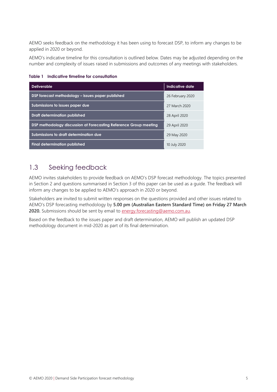AEMO seeks feedback on the methodology it has been using to forecast DSP, to inform any changes to be applied in 2020 or beyond.

AEMO's indicative timeline for this consultation is outlined below. Dates may be adjusted depending on the number and complexity of issues raised in submissions and outcomes of any meetings with stakeholders.

| <b>Deliverable</b>                                                | Indicative date  |
|-------------------------------------------------------------------|------------------|
| DSP forecast methodology – issues paper published                 | 26 February 2020 |
| Submissions to issues paper due                                   | 27 March 2020    |
| Draft determination published                                     | 28 April 2020    |
| DSP methodology discussion at Forecasting Reference Group meeting | 29 April 2020    |
| Submissions to draft determination due                            | 29 May 2020      |
| <b>Final determination published</b>                              | 10 July 2020     |

Table 1 Indicative timeline for consultation

#### 1.3 Seeking feedback

AEMO invites stakeholders to provide feedback on AEMO's DSP forecast methodology. The topics presented in Section 2 and questions summarised in Section 3 of this paper can be used as a guide. The feedback will inform any changes to be applied to AEMO's approach in 2020 or beyond.

Stakeholders are invited to submit written responses on the questions provided and other issues related to AEMO's DSP forecasting methodology by 5.00 pm (Australian Eastern Standard Time) on Friday 27 March 2020. Submissions should be sent by email to energy.forecasting@aemo.com.au.

Based on the feedback to the issues paper and draft determination, AEMO will publish an updated DSP methodology document in mid-2020 as part of its final determination.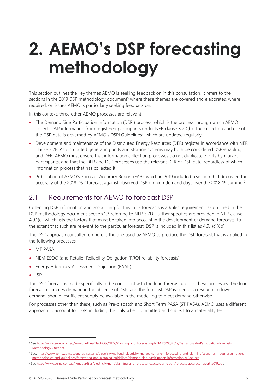# 2. AEMO's DSP forecasting methodology

This section outlines the key themes AEMO is seeking feedback on in this consultation. It refers to the sections in the 2019 DSP methodology document<sup>5</sup> where these themes are covered and elaborates, where required, on issues AEMO is particularly seeking feedback on.

In this context, three other AEMO processes are relevant:

- The Demand Side Participation Information (DSPI) process, which is the process through which AEMO collects DSP information from registered participants under NER clause 3.7D(b). The collection and use of the DSP data is governed by AEMO's DSPI Guidelines<sup>6</sup>, which are updated regularly.
- Development and maintenance of the Distributed Energy Resources (DER) register in accordance with NER clause 3.7E. As distributed generating units and storage systems may both be considered DSP-enabling and DER, AEMO must ensure that information collection processes do not duplicate efforts by market participants, and that the DER and DSP processes use the relevant DER or DSP data, regardless of which information process that has collected it.
- Publication of AEMO's Forecast Accuracy Report (FAR), which in 2019 included a section that discussed the accuracy of the 2018 DSP forecast against observed DSP on high demand days over the 2018-19 summer<sup>7</sup>.

#### 2.1 Requirements for AEMO to forecast DSP

Collecting DSP information and accounting for this in its forecasts is a Rules requirement, as outlined in the DSP methodology document Section 1.3 referring to NER 3.7D. Further specifics are provided in NER clause 4.9.1(c), which lists the factors that must be taken into account in the development of demand forecasts, to the extent that such are relevant to the particular forecast. DSP is included in this list as 4.9.1(c)(6b).

The DSP approach consulted on here is the one used by AEMO to produce the DSP forecast that is applied in the following processes:

- MT PASA
- NEM ESOO (and Retailer Reliability Obligation [RRO] reliability forecasts).
- Energy Adequacy Assessment Projection (EAAP).
- $\cdot$  ISP.

The DSP forecast is made specifically to be consistent with the load forecast used in these processes. The load forecast estimates demand in the absence of DSP, and the forecast DSP is used as a resource to lower demand, should insufficient supply be available in the modelling to meet demand otherwise.

For processes other than these, such as Pre-dispatch and Short Term PASA (ST PASA), AEMO uses a different approach to account for DSP, including this only when committed and subject to a materiality test.

<sup>&</sup>lt;sup>5</sup> See https://www.aemo.com.au/-/media/Files/Electricity/NEM/Planning\_and\_Forecasting/NEM\_ESOO/2019/Demand-Side-Participation-Forecast-Methodology-2019.pdf.

<sup>6</sup> See: https://www.aemo.com.au/energy-systems/electricity/national-electricity-market-nem/nem-forecasting-and-planning/scenarios-inputs-assumptionsmethodologies-and-guidelines/forecasting-and-planning-guidelines/demand-side-participation-information-guidelines.

<sup>&</sup>lt;sup>7</sup> See https://www.aemo.com.au/-/media/files/electricity/nem/planning\_and\_forecasting/accuracy-report/forecast\_accuracy\_report\_2019.pdf.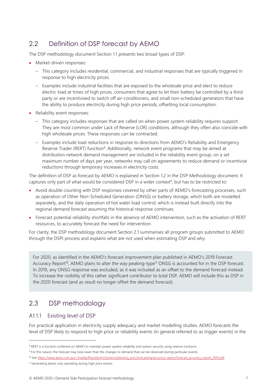### 2.2 Definition of DSP forecast by AEMO

The DSP methodology document Section 1.1 presents two broad types of DSP:

- Market-driven responses:
	- This category includes residential, commercial, and industrial responses that are typically triggered in response to high electricity prices.
	- Examples include industrial facilities that are exposed to the wholesale price and elect to reduce electric load at times of high prices, consumers that agree to let their battery be controlled by a third party or are incentivised to switch off air-conditioners, and small non-scheduled generators that have the ability to produce electricity during high price periods, offsetting local consumption.
- Reliability event responses:
	- This category includes responses that are called on when power system reliability requires support. They are most common under Lack of Reserve (LOR) conditions, although they often also coincide with high wholesale prices. These responses can be contracted.
	- Examples include load reductions in response to directions from AEMO's Reliability and Emergency Reserve Trader (RERT) function<sup>8</sup>. Additionally, network event programs that may be aimed at distribution network demand management are included in the reliability event group; on a set maximum number of days per year, networks may call on agreements to reduce demand or incentivise reductions through temporary increases in electricity costs.

The definition of DSP as forecast by AEMO is explained in Section 1.2 in the DSP Methodology document. It captures only part of what would be considered DSP in a wider context<sup>9</sup>, but has to be restricted to:

- Avoid double counting with DSP responses covered by other parts of AEMO's forecasting processes, such as operation of Other Non-Scheduled Generation (ONSG) or battery storage, which both are modelled separately, and the daily operation of hot water load control, which is instead built directly into the regional demand forecast assuming the historical response continues.
- Forecast potential reliability shortfalls in the absence of AEMO intervention, such as the activation of RERT resources, to accurately forecast the need for intervention.

For clarity, the DSP methodology document Section 2.1 summarises all program groups submitted to AEMO through the DSPI process and explains what are not used when estimating DSP and why.

For 2020, as identified in the AEMO's forecast improvement plan published in AEMO's 2019 Forecast Accuracy Report<sup>10</sup>, AEMO plans to alter the way peaking-type<sup>11</sup> ONSG is accounted for in the DSP forecast. In 2019, any ONSG response was excluded, as it was included as an offset to the demand forecast instead. To increase the visibility of this rather significant contributor to total DSP, AEMO will include this as DSP in the 2020 forecast (and as result no longer offset the demand forecast).

### 2.3 DSP methodology

#### A1.1.1 Existing level of DSP

For practical application in electricity supply adequacy and market modelling studies, AEMO forecasts the level of DSP likely to respond to high price or reliability events (in general referred to as trigger events) in the

<sup>&</sup>lt;sup>8</sup> RERT is a function conferred on AEMO to maintain power system reliability and system security using reserve contracts.

<sup>&</sup>lt;sup>9</sup> For this reason, the forecast may look lower than the changes to demand that can be observed during particular events.

<sup>10</sup> See https://www.aemo.com.au/-/media/files/electricity/nem/planning\_and\_forecasting/accuracy-report/forecast\_accuracy\_report\_2019.pdf <sup>11</sup> Generating plants only operating during high price events.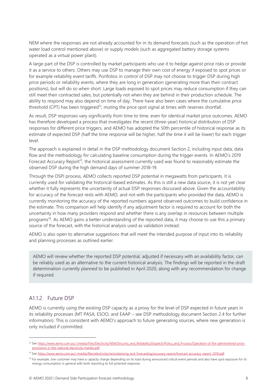NEM where the responses are not already accounted for in its demand forecasts (such as the operation of hot water load control mentioned above) or supply models (such as aggregated battery storage systems operated as a virtual power plant).

A large part of the DSP is controlled by market participants who use it to hedge against price risks or provide it as a service to others. Others may use DSP to manage their own cost of energy if exposed to spot prices or for example reliability event tariffs. Portfolios in control of DSP may not choose to trigger DSP during high price periods or reliability events, where they are long in generation (generating more than their contract positions), but will do so when short. Large loads exposed to spot prices may reduce consumption if they can still meet their contracted sales, but potentially not when they are behind in their production schedule. The ability to respond may also depend on time of day. There have also been cases where the cumulative price threshold (CPT) has been triggered<sup>12</sup>, muting the price spot signal at times with reserves shortfall.

As result, DSP responses vary significantly from time to time, even for identical market price outcomes. AEMO has therefore developed a process that investigates the recent (three-year) historical distribution of DSP responses for different price triggers, and AEMO has adopted the 50th percentile of historical response as its estimate of expected DSP (half the time response will be higher, half the time it will be lower) for each trigger level.

The approach is explained in detail in the DSP methodology document Section 2, including input data, data flow and the methodology for calculating baseline consumption during the trigger events. In AEMO's 2019 Forecast Accuracy Report<sup>13</sup>, the historical assessment currently used was found to reasonably estimate the observed DSP during the high demand days of summer 2018-19.

Through the DSPI process, AEMO collects reported DSP potential in megawatts from participants. It is currently used for validating the historical-based estimates. As this is still a new data source, it is not yet clear whether it fully represents the uncertainty of actual DSP responses discussed above. Given the accountability for accuracy of the forecast rests with AEMO, and not with the participants who provided the data, AEMO is currently monitoring the accuracy of the reported numbers against observed outcomes to build confidence in the estimate. This comparison will help identify if any adjustment factor is required to account for both the uncertainty in how many providers respond and whether there is any overlap in resources between multiple programs<sup>14</sup>. As AEMO gains a better understanding of the reported data, it may choose to use this a primary source of the forecast, with the historical analysis used as validation instead.

AEMO is also open to alternative suggestions that will meet the intended purpose of input into its reliability and planning processes as outlined earlier.

AEMO will review whether the reported DSP potential, adjusted if necessary with an availability factor, can be reliably used as an alternative to the current historical analysis. The findings will be reported in the draft determination currently planned to be published in April 2020, along with any recommendation for change if required.

#### A1.1.2 Future DSP

AEMO is currently using the existing DSP capacity as a proxy for the level of DSP expected in future years in its reliability processes (MT PASA, ESOO, and EAAP – see DSP methodology document Section 2.4 for further information). This is consistent with AEMO's approach to future generating sources, where new generation is only included if committed.

<sup>&</sup>lt;sup>12</sup> See https://www.aemo.com.au/-/media/Files/Electricity/NEM/Security\_and\_Reliability/Dispatch/Policy\_and\_Process/Operation-of-the-administered-priceprovisions-in-the-national-electricity-market.pdf.

<sup>13</sup> See https://www.aemo.com.au/-/media/files/electricity/nem/planning\_and\_forecasting/accuracy-report/forecast\_accuracy\_report\_2019.pdf.

<sup>&</sup>lt;sup>14</sup> For example, one customer may have a capacity charge depending on its load during announced critical event periods and also have spot exposure for its energy consumption in general with both reporting its full potential response.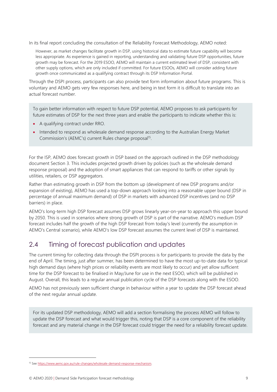In its final report concluding the consultation of the Reliability Forecast Methodology, AEMO noted:

However, as market changes facilitate growth in DSP, using historical data to estimate future capability will become less appropriate. As experience is gained in reporting, understanding and validating future DSP opportunities, future growth may be forecast. For the 2019 ESOO, AEMO will maintain a current estimated level of DSP, consistent with other supply options, which are only included if committed. For future ESOOs, AEMO will consider adding future growth once communicated as a qualifying contract through its DSP Information Portal.

Through the DSPI process, participants can also provide text form information about future programs. This is voluntary and AEMO gets very few responses here, and being in text form it is difficult to translate into an actual forecast number.

To gain better information with respect to future DSP potential, AEMO proposes to ask participants for future estimates of DSP for the next three years and enable the participants to indicate whether this is:

- A qualifying contract under RRO.
- Intended to respond as wholesale demand response according to the Australian Energy Market Commission's (AEMC's) current Rules change proposal<sup>15</sup>.

For the ISP, AEMO does forecast growth in DSP based on the approach outlined in the DSP methodology document Section 3. This includes projected growth driven by policies (such as the wholesale demand response proposal) and the adoption of smart appliances that can respond to tariffs or other signals by utilities, retailers, or DSP aggregators.

Rather than estimating growth in DSP from the bottom up (development of new DSP programs and/or expansion of existing), AEMO has used a top-down approach looking into a reasonable upper bound (DSP in percentage of annual maximum demand) of DSP in markets with advanced DSP incentives (and no DSP barriers) in place.

AEMO's long-term high DSP forecast assumes DSP grows linearly year-on-year to approach this upper bound by 2050. This is used in scenarios where strong growth of DSP is part of the narrative. AEMO's medium DSP forecast includes half the growth of the high DSP forecast from today's level (currently the assumption in AEMO's Central scenario), while AEMO's low DSP forecast assumes the current level of DSP is maintained.

#### 2.4 Timing of forecast publication and updates

The current timing for collecting data through the DSPI process is for participants to provide the data by the end of April. The timing, just after summer, has been determined to have the most up-to-date data for typical high demand days (where high prices or reliability events are most likely to occur) and yet allow sufficient time for the DSP forecast to be finalised in May/June for use in the next ESOO, which will be published in August. Overall, this leads to a regular annual publication cycle of the DSP forecasts along with the ESOO.

AEMO has not previously seen sufficient change in behaviour within a year to update the DSP forecast ahead of the next regular annual update.

For its updated DSP methodology, AEMO will add a section formalising the process AEMO will follow to update the DSP forecast and what would trigger this, noting that DSP is a core component of the reliability forecast and any material change in the DSP forecast could trigger the need for a reliability forecast update.

<sup>15</sup> See https://www.aemc.gov.au/rule-changes/wholesale-demand-response-mechanism.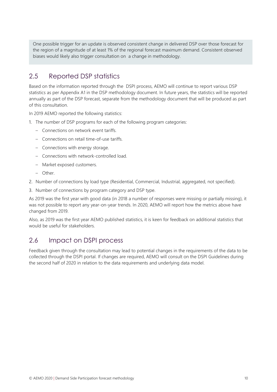One possible trigger for an update is observed consistent change in delivered DSP over those forecast for the region of a magnitude of at least 1% of the regional forecast maximum demand. Consistent observed biases would likely also trigger consultation on a change in methodology.

#### 2.5 Reported DSP statistics

Based on the information reported through the DSPI process, AEMO will continue to report various DSP statistics as per Appendix A1 in the DSP methodology document. In future years, the statistics will be reported annually as part of the DSP forecast, separate from the methodology document that will be produced as part of this consultation.

In 2019 AEMO reported the following statistics:

- 1. The number of DSP programs for each of the following program categories:
	- Connections on network event tariffs.
	- Connections on retail time-of-use tariffs.
	- Connections with energy storage.
	- Connections with network-controlled load.
	- Market exposed customers.
	- Other.
- 2. Number of connections by load type (Residential, Commercial, Industrial, aggregated, not specified).
- 3. Number of connections by program category and DSP type.

As 2019 was the first year with good data (in 2018 a number of responses were missing or partially missing), it was not possible to report any year-on-year trends. In 2020, AEMO will report how the metrics above have changed from 2019.

Also, as 2019 was the first year AEMO published statistics, it is keen for feedback on additional statistics that would be useful for stakeholders.

#### 2.6 Impact on DSPI process

Feedback given through the consultation may lead to potential changes in the requirements of the data to be collected through the DSPI portal. If changes are required, AEMO will consult on the DSPI Guidelines during the second half of 2020 in relation to the data requirements and underlying data model.